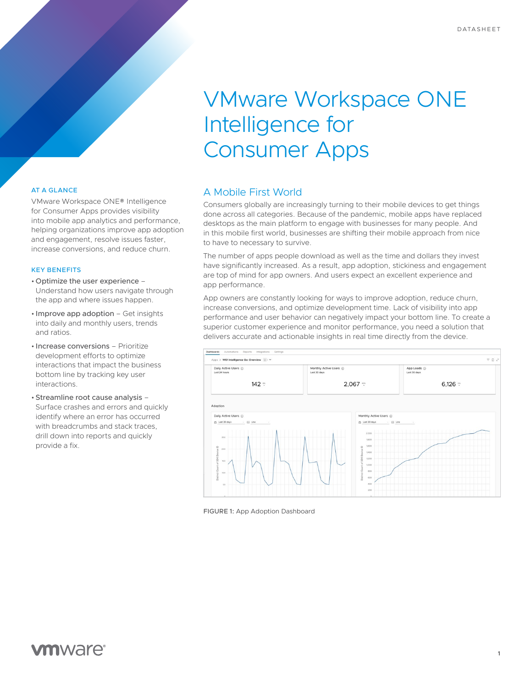# VMware Workspace ONE Intelligence for Consumer Apps

#### AT A GLANCE

VMware Workspace ONE® Intelligence for Consumer Apps provides visibility into mobile app analytics and performance, helping organizations improve app adoption and engagement, resolve issues faster, increase conversions, and reduce churn.

#### KEY BENEFITS

- Optimize the user experience Understand how users navigate through the app and where issues happen.
- Improve app adoption Get insights into daily and monthly users, trends and ratios.
- Increase conversions Prioritize development efforts to optimize interactions that impact the business bottom line by tracking key user interactions.
- Streamline root cause analysis Surface crashes and errors and quickly identify where an error has occurred with breadcrumbs and stack traces, drill down into reports and quickly provide a fix.

# A Mobile First World

Consumers globally are increasingly turning to their mobile devices to get things done across all categories. Because of the pandemic, mobile apps have replaced desktops as the main platform to engage with businesses for many people. And in this mobile first world, businesses are shifting their mobile approach from nice to have to necessary to survive.

The number of apps people download as well as the time and dollars they invest have significantly increased. As a result, app adoption, stickiness and engagement are top of mind for app owners. And users expect an excellent experience and app performance.

App owners are constantly looking for ways to improve adoption, reduce churn, increase conversions, and optimize development time. Lack of visibility into app performance and user behavior can negatively impact your bottom line. To create a superior customer experience and monitor performance, you need a solution that delivers accurate and actionable insights in real time directly from the device.



FIGURE 1: App Adoption Dashboard

# **vm**ware<sup>®</sup>